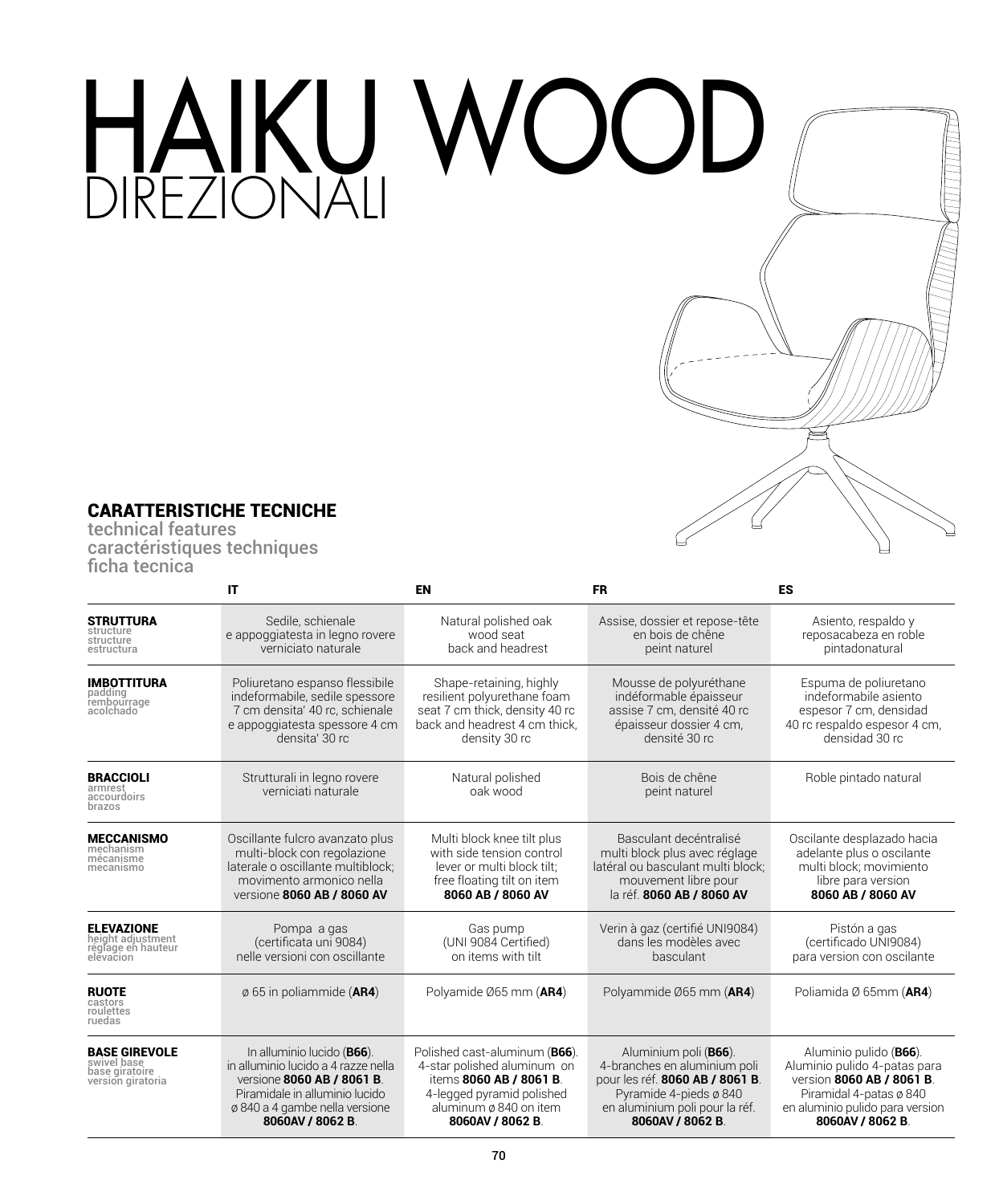## HAIKU WOOD



## CARATTERISTICHE TECNICHE

technical features caractéristiques techniques ficha tecnica

|                                                                            | IT                                                                                                                                                                                     | <b>EN</b>                                                                                                                                                         | <b>FR</b>                                                                                                                                                                        | <b>ES</b><br>Asiento, respaldo y<br>reposacabeza en roble<br>pintadonatural                                                                                           |  |  |
|----------------------------------------------------------------------------|----------------------------------------------------------------------------------------------------------------------------------------------------------------------------------------|-------------------------------------------------------------------------------------------------------------------------------------------------------------------|----------------------------------------------------------------------------------------------------------------------------------------------------------------------------------|-----------------------------------------------------------------------------------------------------------------------------------------------------------------------|--|--|
| <b>STRUTTURA</b><br>structure<br>structure<br>estructura                   | Sedile, schienale<br>e appoggiatesta in legno rovere<br>verniciato naturale                                                                                                            | Natural polished oak<br>wood seat<br>back and headrest                                                                                                            | Assise, dossier et repose-tête<br>en bois de chêne<br>peint naturel                                                                                                              |                                                                                                                                                                       |  |  |
| <b>IMBOTTITURA</b><br>padding<br>rembourrage<br>acolchado                  | Poliuretano espanso flessibile<br>indeformabile, sedile spessore<br>7 cm densita' 40 rc, schienale<br>e appoggiatesta spessore 4 cm<br>densita' 30 rc                                  | Shape-retaining, highly<br>resilient polyurethane foam<br>seat 7 cm thick, density 40 rc<br>back and headrest 4 cm thick,<br>density 30 rc                        | Mousse de polyuréthane<br>indéformable épaisseur<br>assise 7 cm, densité 40 rc<br>épaisseur dossier 4 cm.<br>densité 30 rc                                                       | Espuma de poliuretano<br>indeformabile asiento<br>espesor 7 cm, densidad<br>40 rc respaldo espesor 4 cm,<br>densidad 30 rc                                            |  |  |
| <b>BRACCIOLI</b><br>armrest<br>accourdoirs<br>brazos                       | Strutturali in legno rovere<br>verniciati naturale                                                                                                                                     | Natural polished<br>oak wood                                                                                                                                      | Bois de chêne<br>peint naturel                                                                                                                                                   | Roble pintado natural                                                                                                                                                 |  |  |
| <b>MECCANISMO</b><br>mechanism<br>mécanisme<br>mecanismo                   | Oscillante fulcro avanzato plus<br>multi-block con regolazione<br>laterale o oscillante multiblock:<br>movimento armonico nella<br>versione 8060 AB / 8060 AV                          | Multi block knee tilt plus<br>with side tension control<br>lever or multi block tilt:<br>free floating tilt on item<br>8060 AB / 8060 AV                          | Basculant decéntralisé<br>multi block plus avec réglage<br>latéral ou basculant multi block:<br>mouvement libre pour<br>la réf. 8060 AB / 8060 AV                                | Oscilante desplazado hacia<br>adelante plus o oscilante<br>multi block: movimiento<br>libre para version<br>8060 AB / 8060 AV                                         |  |  |
| <b>ELEVAZIONE</b><br>height adjustment<br>réglage en hauteur<br>elevacion  | Pompa a gas<br>(certificata uni 9084)<br>nelle versioni con oscillante                                                                                                                 | Gas pump<br>(UNI 9084 Certified)<br>on items with tilt                                                                                                            | Verin à gaz (certifié UNI9084)<br>dans les modèles avec<br>basculant                                                                                                             | Pistón a gas<br>(certificado UNI9084)<br>para version con oscilante                                                                                                   |  |  |
| <b>RUOTE</b><br>castors<br>roulettes<br>ruedas                             | $\emptyset$ 65 in poliammide (AR4)                                                                                                                                                     | Polyamide Ø65 mm (AR4)                                                                                                                                            | Polyammide Ø65 mm (AR4)                                                                                                                                                          | Poliamida Ø 65mm (AR4)                                                                                                                                                |  |  |
| <b>BASE GIREVOLE</b><br>swivel base<br>base giratoire<br>version giratoria | In alluminio lucido (B66).<br>in alluminio lucido a 4 razze nella<br>versione 8060 AB / 8061 B.<br>Piramidale in alluminio lucido<br>ø 840 a 4 gambe nella versione<br>8060AV / 8062 B | Polished cast-aluminum (B66).<br>4-star polished aluminum on<br>items 8060 AB / 8061 B.<br>4-legged pyramid polished<br>aluminum ø 840 on item<br>8060AV / 8062 B | Aluminium poli ( <b>B66</b> ).<br>4-branches en aluminium poli<br>pour les réf. 8060 AB / 8061 B.<br>Pyramide 4-pieds ø 840<br>en aluminium poli pour la réf.<br>8060AV / 8062 B | Aluminio pulido (B66).<br>Aluminio pulido 4-patas para<br>version 8060 AB / 8061 B.<br>Piramidal 4-patas ø 840<br>en aluminio pulido para version<br>8060AV / 8062 B. |  |  |